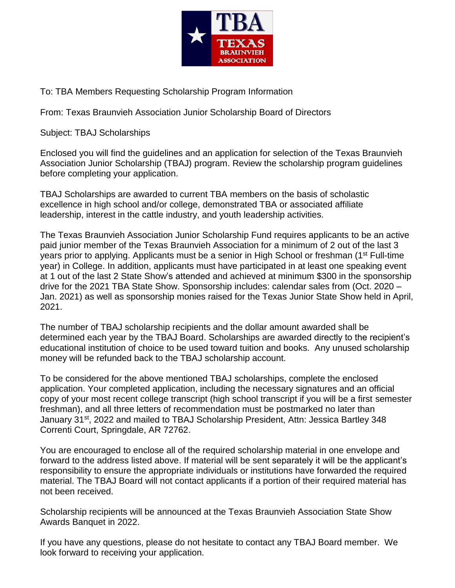

To: TBA Members Requesting Scholarship Program Information

From: Texas Braunvieh Association Junior Scholarship Board of Directors

Subject: TBAJ Scholarships

Enclosed you will find the guidelines and an application for selection of the Texas Braunvieh Association Junior Scholarship (TBAJ) program. Review the scholarship program guidelines before completing your application.

TBAJ Scholarships are awarded to current TBA members on the basis of scholastic excellence in high school and/or college, demonstrated TBA or associated affiliate leadership, interest in the cattle industry, and youth leadership activities.

The Texas Braunvieh Association Junior Scholarship Fund requires applicants to be an active paid junior member of the Texas Braunvieh Association for a minimum of 2 out of the last 3 years prior to applying. Applicants must be a senior in High School or freshman (1<sup>st</sup> Full-time year) in College. In addition, applicants must have participated in at least one speaking event at 1 out of the last 2 State Show's attended and achieved at minimum \$300 in the sponsorship drive for the 2021 TBA State Show. Sponsorship includes: calendar sales from (Oct. 2020 – Jan. 2021) as well as sponsorship monies raised for the Texas Junior State Show held in April, 2021.

The number of TBAJ scholarship recipients and the dollar amount awarded shall be determined each year by the TBAJ Board. Scholarships are awarded directly to the recipient's educational institution of choice to be used toward tuition and books. Any unused scholarship money will be refunded back to the TBAJ scholarship account.

To be considered for the above mentioned TBAJ scholarships, complete the enclosed application. Your completed application, including the necessary signatures and an official copy of your most recent college transcript (high school transcript if you will be a first semester freshman), and all three letters of recommendation must be postmarked no later than January 31<sup>st</sup>, 2022 and mailed to TBAJ Scholarship President, Attn: Jessica Bartley 348 Correnti Court, Springdale, AR 72762.

You are encouraged to enclose all of the required scholarship material in one envelope and forward to the address listed above. If material will be sent separately it will be the applicant's responsibility to ensure the appropriate individuals or institutions have forwarded the required material. The TBAJ Board will not contact applicants if a portion of their required material has not been received.

Scholarship recipients will be announced at the Texas Braunvieh Association State Show Awards Banquet in 2022.

If you have any questions, please do not hesitate to contact any TBAJ Board member. We look forward to receiving your application.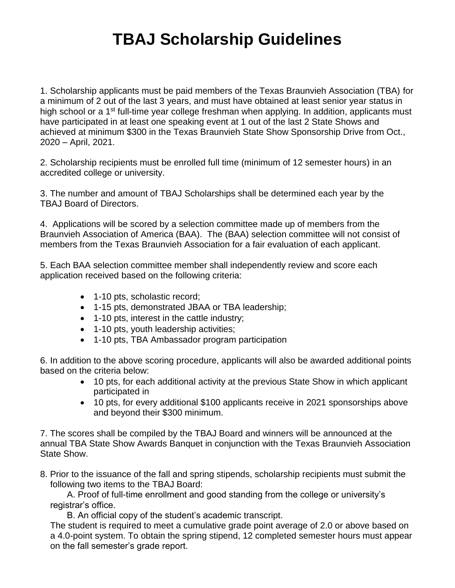# **TBAJ Scholarship Guidelines**

1. Scholarship applicants must be paid members of the Texas Braunvieh Association (TBA) for a minimum of 2 out of the last 3 years, and must have obtained at least senior year status in high school or a 1<sup>st</sup> full-time year college freshman when applying. In addition, applicants must have participated in at least one speaking event at 1 out of the last 2 State Shows and achieved at minimum \$300 in the Texas Braunvieh State Show Sponsorship Drive from Oct., 2020 – April, 2021.

2. Scholarship recipients must be enrolled full time (minimum of 12 semester hours) in an accredited college or university.

3. The number and amount of TBAJ Scholarships shall be determined each year by the TBAJ Board of Directors.

4. Applications will be scored by a selection committee made up of members from the Braunvieh Association of America (BAA). The (BAA) selection committee will not consist of members from the Texas Braunvieh Association for a fair evaluation of each applicant.

5. Each BAA selection committee member shall independently review and score each application received based on the following criteria:

- 1-10 pts, scholastic record;
- 1-15 pts, demonstrated JBAA or TBA leadership;
- 1-10 pts, interest in the cattle industry;
- 1-10 pts, youth leadership activities;
- 1-10 pts, TBA Ambassador program participation

6. In addition to the above scoring procedure, applicants will also be awarded additional points based on the criteria below:

- 10 pts, for each additional activity at the previous State Show in which applicant participated in
- 10 pts, for every additional \$100 applicants receive in 2021 sponsorships above and beyond their \$300 minimum.

7. The scores shall be compiled by the TBAJ Board and winners will be announced at the annual TBA State Show Awards Banquet in conjunction with the Texas Braunvieh Association State Show.

8. Prior to the issuance of the fall and spring stipends, scholarship recipients must submit the following two items to the TBAJ Board:

A. Proof of full-time enrollment and good standing from the college or university's registrar's office.

B. An official copy of the student's academic transcript.

The student is required to meet a cumulative grade point average of 2.0 or above based on a 4.0-point system. To obtain the spring stipend, 12 completed semester hours must appear on the fall semester's grade report.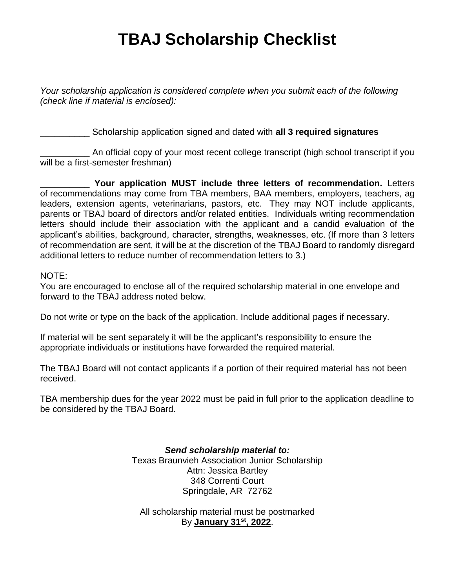# **TBAJ Scholarship Checklist**

*Your scholarship application is considered complete when you submit each of the following (check line if material is enclosed):*

\_\_\_\_\_\_\_\_\_\_ Scholarship application signed and dated with **all 3 required signatures**

An official copy of your most recent college transcript (high school transcript if you will be a first-semester freshman)

\_\_\_\_\_\_\_\_\_\_ **Your application MUST include three letters of recommendation.** Letters of recommendations may come from TBA members, BAA members, employers, teachers, ag leaders, extension agents, veterinarians, pastors, etc. They may NOT include applicants, parents or TBAJ board of directors and/or related entities. Individuals writing recommendation letters should include their association with the applicant and a candid evaluation of the applicant's abilities, background, character, strengths, weaknesses, etc. (If more than 3 letters of recommendation are sent, it will be at the discretion of the TBAJ Board to randomly disregard additional letters to reduce number of recommendation letters to 3.)

#### NOTE:

You are encouraged to enclose all of the required scholarship material in one envelope and forward to the TBAJ address noted below.

Do not write or type on the back of the application. Include additional pages if necessary.

If material will be sent separately it will be the applicant's responsibility to ensure the appropriate individuals or institutions have forwarded the required material.

The TBAJ Board will not contact applicants if a portion of their required material has not been received.

TBA membership dues for the year 2022 must be paid in full prior to the application deadline to be considered by the TBAJ Board.

> *Send scholarship material to:* Texas Braunvieh Association Junior Scholarship Attn: Jessica Bartley 348 Correnti Court Springdale, AR 72762

All scholarship material must be postmarked By **January 31st, 2022**.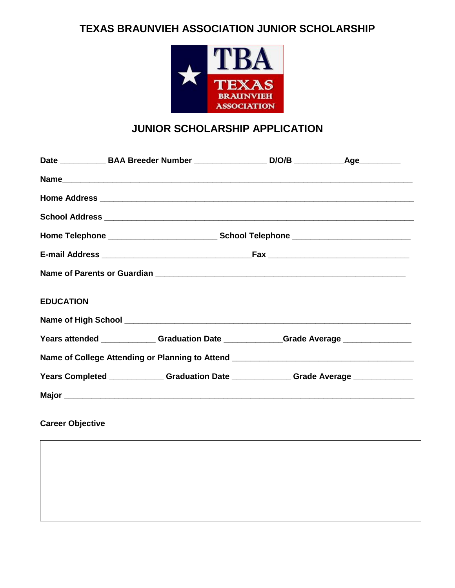# **TEXAS BRAUNVIEH ASSOCIATION JUNIOR SCHOLARSHIP**



# **JUNIOR SCHOLARSHIP APPLICATION**

|                                                                                   | Home Address <b>contract and the Contract of Address and Security and Security and Security and Security and Security and Security and Security and Security and Security and Security and Security and Security and Security an</b> |  |  |
|-----------------------------------------------------------------------------------|--------------------------------------------------------------------------------------------------------------------------------------------------------------------------------------------------------------------------------------|--|--|
|                                                                                   |                                                                                                                                                                                                                                      |  |  |
|                                                                                   |                                                                                                                                                                                                                                      |  |  |
|                                                                                   |                                                                                                                                                                                                                                      |  |  |
|                                                                                   |                                                                                                                                                                                                                                      |  |  |
| <b>EDUCATION</b>                                                                  |                                                                                                                                                                                                                                      |  |  |
|                                                                                   |                                                                                                                                                                                                                                      |  |  |
|                                                                                   | Years attended ______________Graduation Date ______________Grade Average ______________                                                                                                                                              |  |  |
| Name of College Attending or Planning to Attend _________________________________ |                                                                                                                                                                                                                                      |  |  |
|                                                                                   | Years Completed _______________Graduation Date ______________Grade Average ____________                                                                                                                                              |  |  |
|                                                                                   |                                                                                                                                                                                                                                      |  |  |
|                                                                                   |                                                                                                                                                                                                                                      |  |  |

**Career Objective**

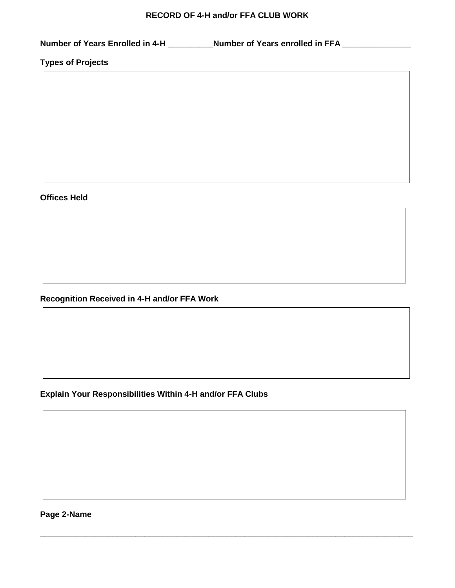#### **RECORD OF 4-H and/or FFA CLUB WORK**

**Number of Years Enrolled in 4-H \_\_\_\_\_\_\_\_\_\_Number of Years enrolled in FFA \_\_\_\_\_\_\_\_\_\_\_\_\_\_\_**

**Types of Projects**

## **Offices Held**

**Recognition Received in 4-H and/or FFA Work**

**Explain Your Responsibilities Within 4-H and/or FFA Clubs**

**\_\_\_\_\_\_\_\_\_\_\_\_\_\_\_\_\_\_\_\_\_\_\_\_\_\_\_\_\_\_\_\_\_\_\_\_\_\_\_\_\_\_\_\_\_\_\_\_\_\_\_\_\_\_\_\_\_\_\_\_\_\_\_\_\_\_\_\_\_\_\_\_\_\_\_\_\_\_\_\_\_\_**

**Page 2-Name**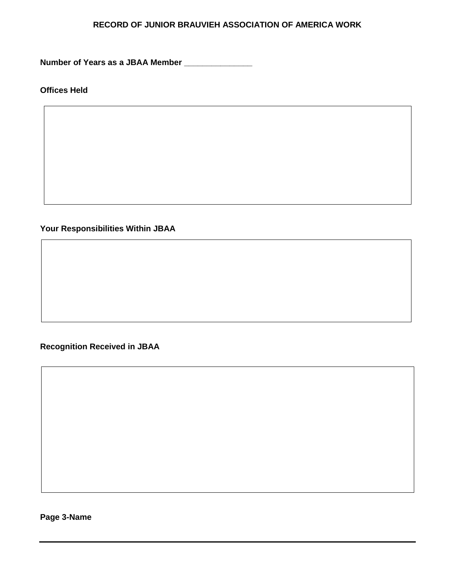## **RECORD OF JUNIOR BRAUVIEH ASSOCIATION OF AMERICA WORK**

**Number of Years as a JBAA Member \_\_\_\_\_\_\_\_\_\_\_\_\_\_\_**

**Offices Held**

**Your Responsibilities Within JBAA**

## **Recognition Received in JBAA**

**Page 3-Name**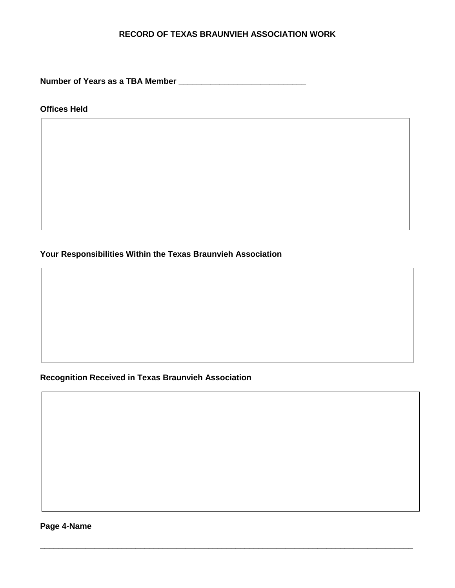### **RECORD OF TEXAS BRAUNVIEH ASSOCIATION WORK**

**\_\_\_\_\_\_\_\_\_\_\_\_\_\_\_\_\_\_\_\_\_\_\_\_\_\_\_\_\_\_\_\_\_\_\_\_\_\_\_\_\_\_\_\_\_\_\_\_\_\_\_\_\_\_\_\_\_\_\_\_\_\_\_\_\_\_\_\_\_\_\_\_\_\_\_\_\_\_\_\_\_\_**

**Number of Years as a TBA Member \_\_\_\_\_\_\_\_\_\_\_\_\_\_\_\_\_\_\_\_\_\_\_\_\_\_\_\_**

**Offices Held**

**Your Responsibilities Within the Texas Braunvieh Association**

**Recognition Received in Texas Braunvieh Association**

**Page 4-Name**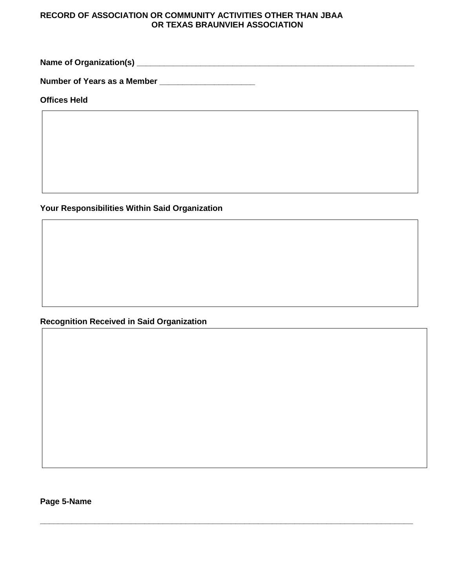#### **RECORD OF ASSOCIATION OR COMMUNITY ACTIVITIES OTHER THAN JBAA OR TEXAS BRAUNVIEH ASSOCIATION**

**\_\_\_\_\_\_\_\_\_\_\_\_\_\_\_\_\_\_\_\_\_\_\_\_\_\_\_\_\_\_\_\_\_\_\_\_\_\_\_\_\_\_\_\_\_\_\_\_\_\_\_\_\_\_\_\_\_\_\_\_\_\_\_\_\_\_\_\_\_\_\_\_\_\_\_\_\_\_\_\_\_\_**

**Name of Organization(s) \_\_\_\_\_\_\_\_\_\_\_\_\_\_\_\_\_\_\_\_\_\_\_\_\_\_\_\_\_\_\_\_\_\_\_\_\_\_\_\_\_\_\_\_\_\_\_\_\_\_\_\_\_\_\_\_\_\_\_\_\_**

**Number of Years as a Member \_\_\_\_\_\_\_\_\_\_\_\_\_\_\_\_\_\_\_\_\_**

**Offices Held**

**Your Responsibilities Within Said Organization**

**Recognition Received in Said Organization**

**Page 5-Name**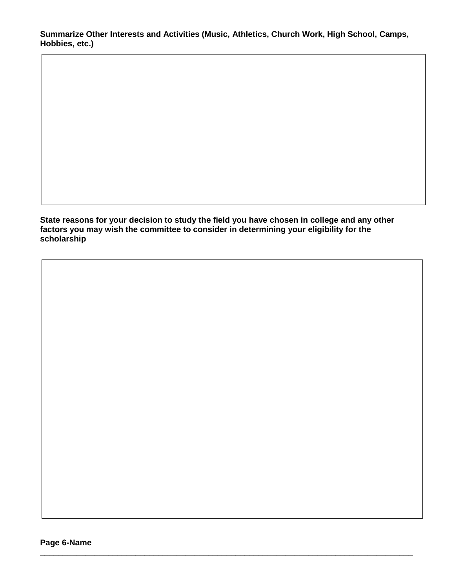**Summarize Other Interests and Activities (Music, Athletics, Church Work, High School, Camps, Hobbies, etc.)**

**State reasons for your decision to study the field you have chosen in college and any other factors you may wish the committee to consider in determining your eligibility for the scholarship**

**\_\_\_\_\_\_\_\_\_\_\_\_\_\_\_\_\_\_\_\_\_\_\_\_\_\_\_\_\_\_\_\_\_\_\_\_\_\_\_\_\_\_\_\_\_\_\_\_\_\_\_\_\_\_\_\_\_\_\_\_\_\_\_\_\_\_\_\_\_\_\_\_\_\_\_\_\_\_\_\_\_\_**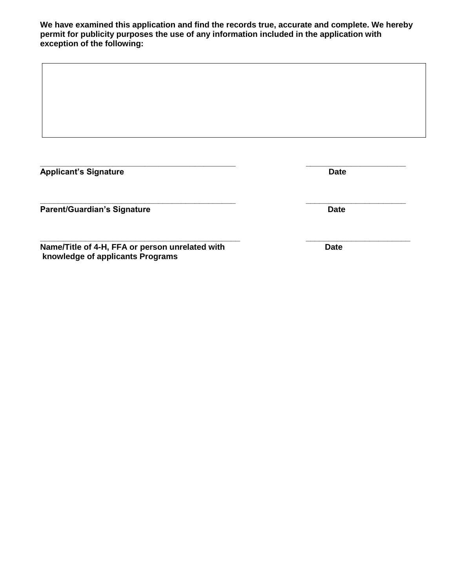**We have examined this application and find the records true, accurate and complete. We hereby permit for publicity purposes the use of any information included in the application with exception of the following:**

**\_\_\_\_\_\_\_\_\_\_\_\_\_\_\_\_\_\_\_\_\_\_\_\_\_\_\_\_\_\_\_\_\_\_\_\_\_\_\_\_\_\_\_ \_\_\_\_\_\_\_\_\_\_\_\_\_\_\_\_\_\_\_\_\_\_ Applicant's Signature Date** 

Parent/Guardian's Signature **Date** Date

**Name/Title of 4-H, FFA or person unrelated with Date knowledge of applicants Programs** 

**\_\_\_\_\_\_\_\_\_\_\_\_\_\_\_\_\_\_\_\_\_\_\_\_\_\_\_\_\_\_\_\_\_\_\_\_\_\_\_\_\_\_\_ \_\_\_\_\_\_\_\_\_\_\_\_\_\_\_\_\_\_\_\_\_\_**

**\_\_\_\_\_\_\_\_\_\_\_\_\_\_\_\_\_\_\_\_\_\_\_\_\_\_\_\_\_\_\_\_\_\_\_\_\_\_\_\_\_\_\_\_ \_\_\_\_\_\_\_\_\_\_\_\_\_\_\_\_\_\_\_\_\_\_\_**